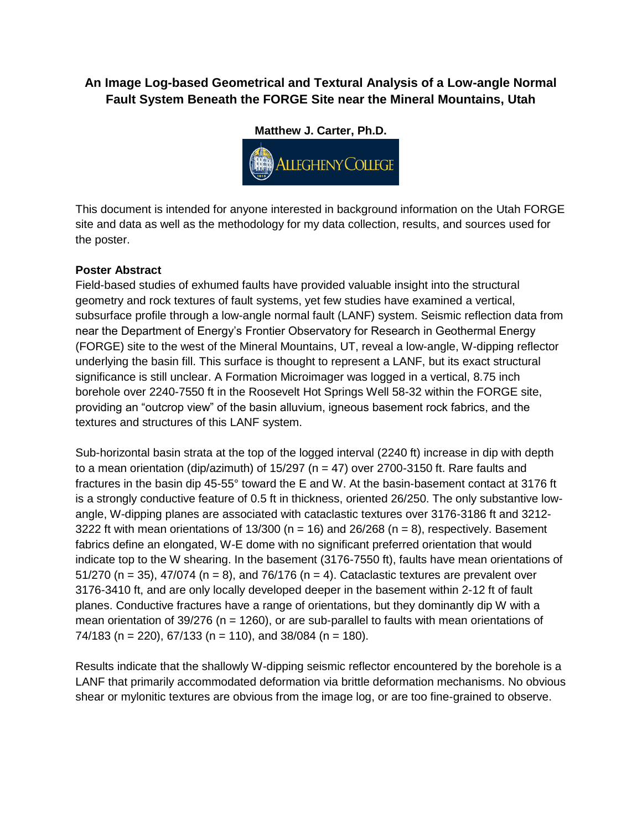# **An Image Log-based Geometrical and Textural Analysis of a Low-angle Normal Fault System Beneath the FORGE Site near the Mineral Mountains, Utah**

**Matthew J. Carter, Ph.D. (FEET) ALLEGHENY COLLEGE** 

This document is intended for anyone interested in background information on the Utah FORGE site and data as well as the methodology for my data collection, results, and sources used for the poster.

# **Poster Abstract**

Field-based studies of exhumed faults have provided valuable insight into the structural geometry and rock textures of fault systems, yet few studies have examined a vertical, subsurface profile through a low-angle normal fault (LANF) system. Seismic reflection data from near the Department of Energy's Frontier Observatory for Research in Geothermal Energy (FORGE) site to the west of the Mineral Mountains, UT, reveal a low-angle, W-dipping reflector underlying the basin fill. This surface is thought to represent a LANF, but its exact structural significance is still unclear. A Formation Microimager was logged in a vertical, 8.75 inch borehole over 2240-7550 ft in the Roosevelt Hot Springs Well 58-32 within the FORGE site, providing an "outcrop view" of the basin alluvium, igneous basement rock fabrics, and the textures and structures of this LANF system.

Sub-horizontal basin strata at the top of the logged interval (2240 ft) increase in dip with depth to a mean orientation (dip/azimuth) of  $15/297$  (n = 47) over 2700-3150 ft. Rare faults and fractures in the basin dip 45-55° toward the E and W. At the basin-basement contact at 3176 ft is a strongly conductive feature of 0.5 ft in thickness, oriented 26/250. The only substantive lowangle, W-dipping planes are associated with cataclastic textures over 3176-3186 ft and 3212- 3222 ft with mean orientations of  $13/300$  (n = 16) and  $26/268$  (n = 8), respectively. Basement fabrics define an elongated, W-E dome with no significant preferred orientation that would indicate top to the W shearing. In the basement (3176-7550 ft), faults have mean orientations of 51/270 (n = 35), 47/074 (n = 8), and 76/176 (n = 4). Cataclastic textures are prevalent over 3176-3410 ft, and are only locally developed deeper in the basement within 2-12 ft of fault planes. Conductive fractures have a range of orientations, but they dominantly dip W with a mean orientation of  $39/276$  (n = 1260), or are sub-parallel to faults with mean orientations of  $74/183$  (n = 220), 67/133 (n = 110), and 38/084 (n = 180).

Results indicate that the shallowly W-dipping seismic reflector encountered by the borehole is a LANF that primarily accommodated deformation via brittle deformation mechanisms. No obvious shear or mylonitic textures are obvious from the image log, or are too fine-grained to observe.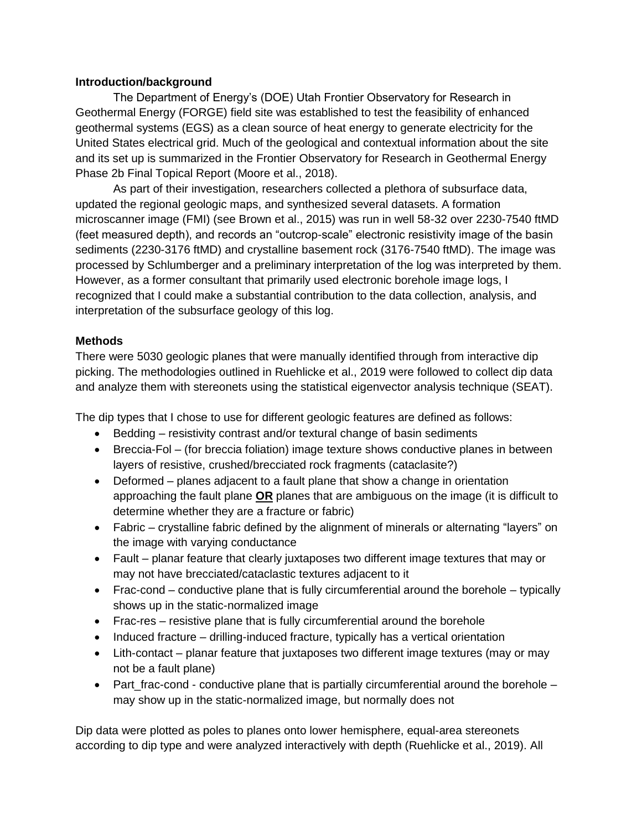## **Introduction/background**

The Department of Energy's (DOE) Utah Frontier Observatory for Research in Geothermal Energy (FORGE) field site was established to test the feasibility of enhanced geothermal systems (EGS) as a clean source of heat energy to generate electricity for the United States electrical grid. Much of the geological and contextual information about the site and its set up is summarized in the Frontier Observatory for Research in Geothermal Energy Phase 2b Final Topical Report (Moore et al., 2018).

As part of their investigation, researchers collected a plethora of subsurface data, updated the regional geologic maps, and synthesized several datasets. A formation microscanner image (FMI) (see Brown et al., 2015) was run in well 58-32 over 2230-7540 ftMD (feet measured depth), and records an "outcrop-scale" electronic resistivity image of the basin sediments (2230-3176 ftMD) and crystalline basement rock (3176-7540 ftMD). The image was processed by Schlumberger and a preliminary interpretation of the log was interpreted by them. However, as a former consultant that primarily used electronic borehole image logs, I recognized that I could make a substantial contribution to the data collection, analysis, and interpretation of the subsurface geology of this log.

## **Methods**

There were 5030 geologic planes that were manually identified through from interactive dip picking. The methodologies outlined in Ruehlicke et al., 2019 were followed to collect dip data and analyze them with stereonets using the statistical eigenvector analysis technique (SEAT).

The dip types that I chose to use for different geologic features are defined as follows:

- Bedding resistivity contrast and/or textural change of basin sediments
- Breccia-Fol (for breccia foliation) image texture shows conductive planes in between layers of resistive, crushed/brecciated rock fragments (cataclasite?)
- Deformed planes adjacent to a fault plane that show a change in orientation approaching the fault plane **OR** planes that are ambiguous on the image (it is difficult to determine whether they are a fracture or fabric)
- Fabric crystalline fabric defined by the alignment of minerals or alternating "layers" on the image with varying conductance
- Fault planar feature that clearly juxtaposes two different image textures that may or may not have brecciated/cataclastic textures adjacent to it
- Frac-cond conductive plane that is fully circumferential around the borehole typically shows up in the static-normalized image
- Frac-res resistive plane that is fully circumferential around the borehole
- $\bullet$  Induced fracture drilling-induced fracture, typically has a vertical orientation
- Lith-contact planar feature that juxtaposes two different image textures (may or may not be a fault plane)
- Part frac-cond conductive plane that is partially circumferential around the borehole  $$ may show up in the static-normalized image, but normally does not

Dip data were plotted as poles to planes onto lower hemisphere, equal-area stereonets according to dip type and were analyzed interactively with depth (Ruehlicke et al., 2019). All